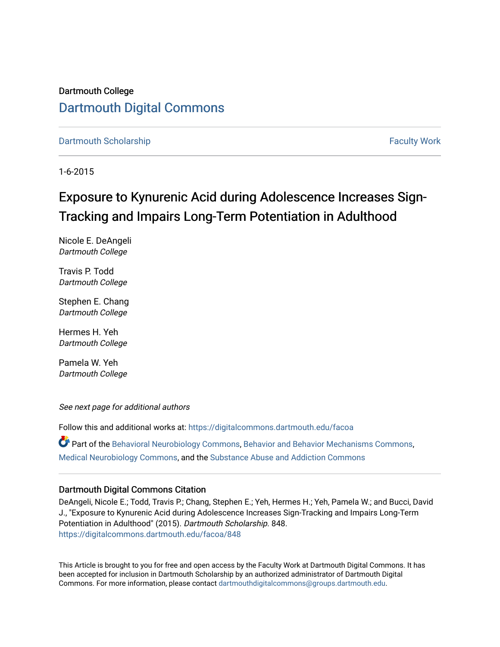## Dartmouth College [Dartmouth Digital Commons](https://digitalcommons.dartmouth.edu/)

[Dartmouth Scholarship](https://digitalcommons.dartmouth.edu/facoa) [Faculty Work](https://digitalcommons.dartmouth.edu/faculty) and The Basic Scholarship Faculty Work Faculty Work

1-6-2015

# Exposure to Kynurenic Acid during Adolescence Increases Sign-Tracking and Impairs Long-Term Potentiation in Adulthood

Nicole E. DeAngeli Dartmouth College

Travis P. Todd Dartmouth College

Stephen E. Chang Dartmouth College

Hermes H. Yeh Dartmouth College

Pamela W. Yeh Dartmouth College

See next page for additional authors

Follow this and additional works at: [https://digitalcommons.dartmouth.edu/facoa](https://digitalcommons.dartmouth.edu/facoa?utm_source=digitalcommons.dartmouth.edu%2Ffacoa%2F848&utm_medium=PDF&utm_campaign=PDFCoverPages)

Part of the [Behavioral Neurobiology Commons,](http://network.bepress.com/hgg/discipline/56?utm_source=digitalcommons.dartmouth.edu%2Ffacoa%2F848&utm_medium=PDF&utm_campaign=PDFCoverPages) [Behavior and Behavior Mechanisms Commons,](http://network.bepress.com/hgg/discipline/963?utm_source=digitalcommons.dartmouth.edu%2Ffacoa%2F848&utm_medium=PDF&utm_campaign=PDFCoverPages) [Medical Neurobiology Commons](http://network.bepress.com/hgg/discipline/674?utm_source=digitalcommons.dartmouth.edu%2Ffacoa%2F848&utm_medium=PDF&utm_campaign=PDFCoverPages), and the [Substance Abuse and Addiction Commons](http://network.bepress.com/hgg/discipline/710?utm_source=digitalcommons.dartmouth.edu%2Ffacoa%2F848&utm_medium=PDF&utm_campaign=PDFCoverPages) 

## Dartmouth Digital Commons Citation

DeAngeli, Nicole E.; Todd, Travis P.; Chang, Stephen E.; Yeh, Hermes H.; Yeh, Pamela W.; and Bucci, David J., "Exposure to Kynurenic Acid during Adolescence Increases Sign-Tracking and Impairs Long-Term Potentiation in Adulthood" (2015). Dartmouth Scholarship. 848. [https://digitalcommons.dartmouth.edu/facoa/848](https://digitalcommons.dartmouth.edu/facoa/848?utm_source=digitalcommons.dartmouth.edu%2Ffacoa%2F848&utm_medium=PDF&utm_campaign=PDFCoverPages)

This Article is brought to you for free and open access by the Faculty Work at Dartmouth Digital Commons. It has been accepted for inclusion in Dartmouth Scholarship by an authorized administrator of Dartmouth Digital Commons. For more information, please contact [dartmouthdigitalcommons@groups.dartmouth.edu](mailto:dartmouthdigitalcommons@groups.dartmouth.edu).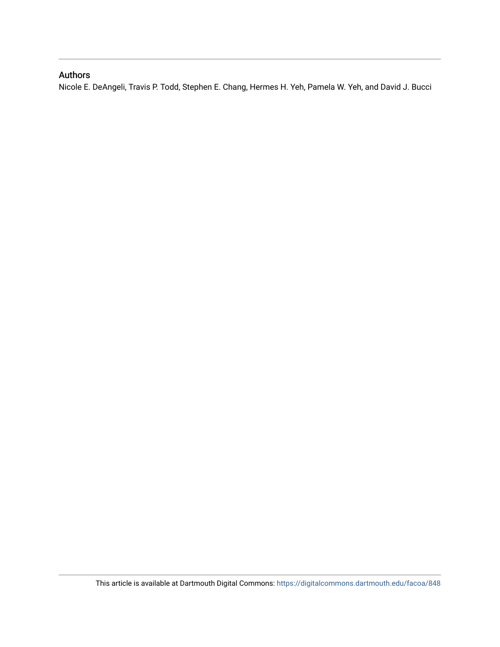## Authors

Nicole E. DeAngeli, Travis P. Todd, Stephen E. Chang, Hermes H. Yeh, Pamela W. Yeh, and David J. Bucci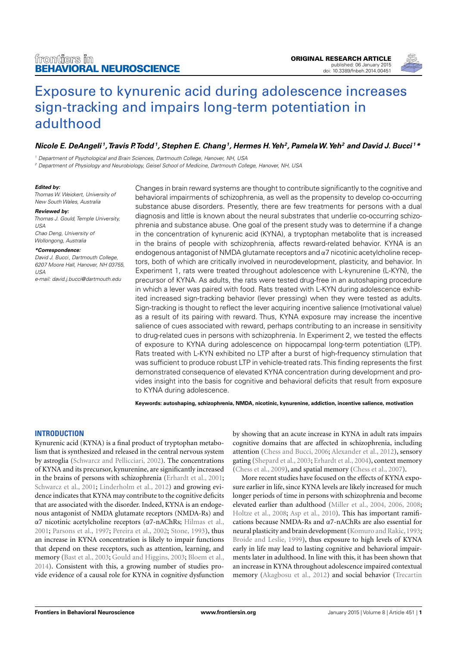

## [Exposure to kynurenic acid during adolescence increases](http://www.frontiersin.org/Journal/10.3389/fnbeh.2014.00451/abstract) [sign-tracking and impairs long-term potentiation in](http://www.frontiersin.org/Journal/10.3389/fnbeh.2014.00451/abstract) [adulthood](http://www.frontiersin.org/Journal/10.3389/fnbeh.2014.00451/abstract)

## [Nicole E. DeAngeli](http://www.frontiersin.org/people/u/199536)<sup>1</sup>, Travis P. Todd<sup>1</sup>, [Stephen E. Chang](http://www.frontiersin.org/people/u/199518)<sup>1</sup>, Hermes H. Yeh<sup>2</sup>, Pamela W. Yeh<sup>2</sup> and [David J. Bucci](http://www.frontiersin.org/people/u/30152)<sup>1</sup>\*

<sup>1</sup> Department of Psychological and Brain Sciences, Dartmouth College, Hanover, NH, USA

<sup>2</sup> Department of Physiology and Neurobiology, Geisel School of Medicine, Dartmouth College, Hanover, NH, USA

#### **Edited by:**

Thomas W. Weickert, University of New South Wales, Australia

#### **Reviewed by:**

Thomas J. Gould, Temple University, USA Chao Deng, University of

Wollongong, Australia

#### **\*Correspondence:**

David J. Bucci, Dartmouth College, 6207 Moore Hall, Hanover, NH 03755, USA

e-mail: [david.j.bucci@dartmouth.edu](mailto:david.j.bucci@dartmouth.edu)

Changes in brain reward systems are thought to contribute significantly to the cognitive and behavioral impairments of schizophrenia, as well as the propensity to develop co-occurring substance abuse disorders. Presently, there are few treatments for persons with a dual diagnosis and little is known about the neural substrates that underlie co-occurring schizophrenia and substance abuse. One goal of the present study was to determine if a change in the concentration of kynurenic acid (KYNA), a tryptophan metabolite that is increased in the brains of people with schizophrenia, affects reward-related behavior. KYNA is an endogenous antagonist of NMDA glutamate receptors and  $\alpha$ 7 nicotinic acetylcholine receptors, both of which are critically involved in neurodevelopment, plasticity, and behavior. In Experiment 1, rats were treated throughout adolescence with L-kynurenine (L-KYN), the precursor of KYNA. As adults, the rats were tested drug-free in an autoshaping procedure in which a lever was paired with food. Rats treated with L-KYN during adolescence exhibited increased sign-tracking behavior (lever pressing) when they were tested as adults. Sign-tracking is thought to reflect the lever acquiring incentive salience (motivational value) as a result of its pairing with reward. Thus, KYNA exposure may increase the incentive salience of cues associated with reward, perhaps contributing to an increase in sensitivity to drug-related cues in persons with schizophrenia. In Experiment 2, we tested the effects of exposure to KYNA during adolescence on hippocampal long-term potentiation (LTP). Rats treated with L-KYN exhibited no LTP after a burst of high-frequency stimulation that was sufficient to produce robust LTP in vehicle-treated rats.This finding represents the first demonstrated consequence of elevated KYNA concentration during development and provides insight into the basis for cognitive and behavioral deficits that result from exposure to KYNA during adolescence.

**Keywords: autoshaping, schizophrenia, NMDA, nicotinic, kynurenine, addiction, incentive salience, motivation**

#### **INTRODUCTION**

Kynurenic acid (KYNA) is a final product of tryptophan metabolism that is synthesized and released in the central nervous system by astroglia [\(Schwarcz and Pellicciari, 2002\)](#page-10-0). The concentrations of KYNA and its precursor, kynurenine, are significantly increased in the brains of persons with schizophrenia [\(Erhardt et al., 2001;](#page-9-0) [Schwarcz et al., 2001;](#page-10-1) [Linderholm et al., 2012\)](#page-9-1) and growing evidence indicates that KYNA may contribute to the cognitive deficits that are associated with the disorder. Indeed, KYNA is an endogenous antagonist of NMDA glutamate receptors (NMDA-Rs) and α7 nicotinic acetylcholine receptors (α7-nAChRs; [Hilmas et al.,](#page-9-2) [2001;](#page-9-2) [Parsons et al., 1997;](#page-10-2) [Pereira et al., 2002;](#page-10-3) [Stone, 1993\)](#page-10-4), thus an increase in KYNA concentration is likely to impair functions that depend on these receptors, such as attention, learning, and memory [\(Bast et al., 2003;](#page-8-0) [Gould and Higgins, 2003;](#page-9-3) [Bloem et al.,](#page-8-1) [2014\)](#page-8-1). Consistent with this, a growing number of studies provide evidence of a causal role for KYNA in cognitive dysfunction

by showing that an acute increase in KYNA in adult rats impairs cognitive domains that are affected in schizophrenia, including attention [\(Chess and Bucci, 2006;](#page-9-4) [Alexander et al., 2012\)](#page-8-2), sensory gating [\(Shepard et al., 2003;](#page-10-5) [Erhardt et al., 2004\)](#page-9-5), context memory [\(Chess et al., 2009\)](#page-9-6), and spatial memory [\(Chess et al., 2007\)](#page-9-7).

More recent studies have focused on the effects of KYNA exposure earlier in life, since KYNA levels are likely increased for much longer periods of time in persons with schizophrenia and become elevated earlier than adulthood [\(Miller et al., 2004,](#page-9-8) [2006,](#page-9-9) [2008;](#page-9-10) [Holtze et al., 2008;](#page-9-11) [Asp et al., 2010\)](#page-8-3). This has important ramifications because NMDA-Rs and α7-nAChRs are also essential for neural plasticity and brain development [\(Komuro and Rakic, 1993;](#page-9-12) [Broide and Leslie, 1999\)](#page-8-4), thus exposure to high levels of KYNA early in life may lead to lasting cognitive and behavioral impairments later in adulthood. In line with this, it has been shown that an increase in KYNA throughout adolescence impaired contextual memory [\(Akagbosu et al., 2012\)](#page-8-5) and social behavior [\(Trecartin](#page-10-6)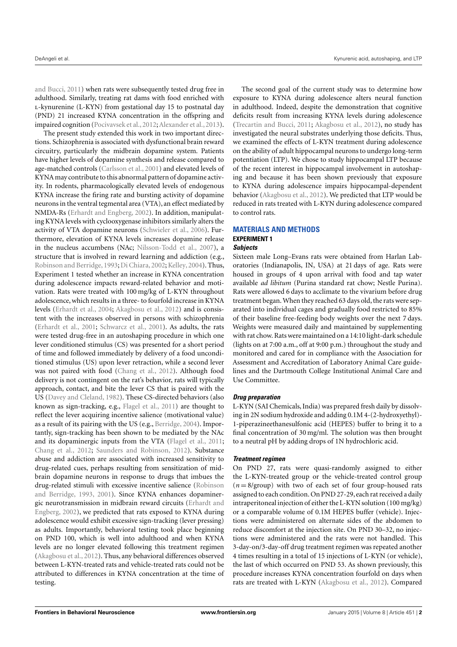[and Bucci,](#page-10-6) [2011\)](#page-10-6) when rats were subsequently tested drug free in adulthood. Similarly, treating rat dams with food enriched with l-kynurenine (L-KYN) from gestational day 15 to postnatal day (PND) 21 increased KYNA concentration in the offspring and impaired cognition [\(Pocivavsek et al.,](#page-10-7) [2012;](#page-10-7) [Alexander et al.,](#page-8-6) [2013\)](#page-8-6).

The present study extended this work in two important directions. Schizophrenia is associated with dysfunctional brain reward circuitry, particularly the midbrain dopamine system. Patients have higher levels of dopamine synthesis and release compared to age-matched controls [\(Carlsson et al.,](#page-9-13) [2001\)](#page-9-13) and elevated levels of KYNA may contribute to this abnormal pattern of dopamine activity. In rodents, pharmacologically elevated levels of endogenous KYNA increase the firing rate and bursting activity of dopamine neurons in the ventral tegmental area (VTA), an effect mediated by NMDA-Rs [\(Erhardt and Engberg,](#page-9-14) [2002\)](#page-9-14). In addition, manipulating KYNA levels with cyclooxygenase inhibitors similarly alters the activity of VTA dopamine neurons [\(Schwieler et al.,](#page-10-8) [2006\)](#page-10-8). Furthermore, elevation of KYNA levels increases dopamine release in the nucleus accumbens (NAc; [Nilsson-Todd et al.,](#page-10-9) [2007\)](#page-10-9), a structure that is involved in reward learning and addiction (e.g., [Robinson and Berridge,](#page-10-10) [1993;](#page-10-10) [Di Chiara,](#page-9-15) [2002;](#page-9-15) [Kelley,](#page-9-16) [2004\)](#page-9-16). Thus, Experiment 1 tested whether an increase in KYNA concentration during adolescence impacts reward-related behavior and motivation. Rats were treated with 100 mg/kg of L-KYN throughout adolescence, which results in a three- to fourfold increase in KYNA levels [\(Erhardt et al.,](#page-9-5) [2004;](#page-9-5) [Akagbosu et al.,](#page-8-5) [2012\)](#page-8-5) and is consistent with the increases observed in persons with schizophrenia [\(Erhardt et al.,](#page-9-0) [2001;](#page-9-0) [Schwarcz et al.,](#page-10-1) [2001\)](#page-10-1). As adults, the rats were tested drug-free in an autoshaping procedure in which one lever conditioned stimulus (CS) was presented for a short period of time and followed immediately by delivery of a food unconditioned stimulus (US) upon lever retraction, while a second lever was not paired with food [\(Chang et al.,](#page-9-17) [2012\)](#page-9-17). Although food delivery is not contingent on the rat's behavior, rats will typically approach, contact, and bite the lever CS that is paired with the US [\(Davey and Cleland,](#page-9-18) [1982\)](#page-9-18). These CS-directed behaviors (also known as sign-tracking, e.g., [Flagel et al.,](#page-9-19) [2011\)](#page-9-19) are thought to reflect the lever acquiring incentive salience (motivational value) as a result of its pairing with the US (e.g., [Berridge,](#page-8-7) [2004\)](#page-8-7). Importantly, sign-tracking has been shown to be mediated by the NAc and its dopaminergic inputs from the VTA [\(Flagel et al.,](#page-9-19) [2011;](#page-9-19) [Chang et al.,](#page-9-17) [2012;](#page-9-17) [Saunders and Robinson,](#page-10-11) [2012\)](#page-10-11). Substance abuse and addiction are associated with increased sensitivity to drug-related cues, perhaps resulting from sensitization of midbrain dopamine neurons in response to drugs that imbues the drug-related stimuli with excessive incentive salience [\(Robinson](#page-10-10) [and Berridge,](#page-10-10) [1993,](#page-10-10) [2001\)](#page-10-12). Since KYNA enhances dopaminergic neurotransmission in midbrain reward circuits [\(Erhardt and](#page-9-14) [Engberg,](#page-9-14) [2002\)](#page-9-14), we predicted that rats exposed to KYNA during adolescence would exhibit excessive sign-tracking (lever pressing) as adults. Importantly, behavioral testing took place beginning on PND 100, which is well into adulthood and when KYNA levels are no longer elevated following this treatment regimen [\(Akagbosu et al.,](#page-8-5) [2012\)](#page-8-5). Thus, any behavioral differences observed between L-KYN-treated rats and vehicle-treated rats could not be attributed to differences in KYNA concentration at the time of testing.

The second goal of the current study was to determine how exposure to KYNA during adolescence alters neural function in adulthood. Indeed, despite the demonstration that cognitive deficits result from increasing KYNA levels during adolescence [\(Trecartin and Bucci,](#page-10-6) [2011;](#page-10-6) [Akagbosu et al.,](#page-8-5) [2012\)](#page-8-5), no study has investigated the neural substrates underlying those deficits. Thus, we examined the effects of L-KYN treatment during adolescence on the ability of adult hippocampal neurons to undergo long-term potentiation (LTP). We chose to study hippocampal LTP because of the recent interest in hippocampal involvement in autoshaping and because it has been shown previously that exposure to KYNA during adolescence impairs hippocampal-dependent behavior [\(Akagbosu et al.,](#page-8-5) [2012\)](#page-8-5). We predicted that LTP would be reduced in rats treated with L-KYN during adolescence compared to control rats.

### **MATERIALS AND METHODS EXPERIMENT 1 Subjects**

Sixteen male Long–Evans rats were obtained from Harlan Laboratories (Indianapolis, IN, USA) at 21 days of age. Rats were housed in groups of 4 upon arrival with food and tap water available *ad libitum* (Purina standard rat chow; Nestle Purina). Rats were allowed 6 days to acclimate to the vivarium before drug treatment began. When they reached 63 days old, the rats were separated into individual cages and gradually food restricted to 85% of their baseline free-feeding body weights over the next 7 days. Weights were measured daily and maintained by supplementing with rat chow. Rats were maintained on a 14:10 light-dark schedule (lights on at 7:00 a.m., off at 9:00 p.m.) throughout the study and monitored and cared for in compliance with the Association for Assessment and Accreditation of Laboratory Animal Care guidelines and the Dartmouth College Institutional Animal Care and Use Committee.

#### **Drug preparation**

L-KYN (SAI Chemicals, India) was prepared fresh daily by dissolving in 2N sodium hydroxide and adding 0.1M 4-(2-hydroxyethyl)- 1-piperazineethanesulfonic acid (HEPES) buffer to bring it to a final concentration of 30 mg/ml. The solution was then brought to a neutral pH by adding drops of 1N hydrochloric acid.

#### **Treatment regimen**

On PND 27, rats were quasi-randomly assigned to either the L-KYN-treated group or the vehicle-treated control group  $(n=8/\text{group})$  with two of each set of four group-housed rats assigned to each condition. On PND 27-29, each rat received a daily intraperitoneal injection of either the L-KYN solution (100 mg/kg) or a comparable volume of 0.1M HEPES buffer (vehicle). Injections were administered on alternate sides of the abdomen to reduce discomfort at the injection site. On PND 30–32, no injections were administered and the rats were not handled. This 3-day-on/3-day-off drug treatment regimen was repeated another 4 times resulting in a total of 15 injections of L-KYN (or vehicle), the last of which occurred on PND 53. As shown previously, this procedure increases KYNA concentration fourfold on days when rats are treated with L-KYN [\(Akagbosu et al.,](#page-8-5) [2012\)](#page-8-5). Compared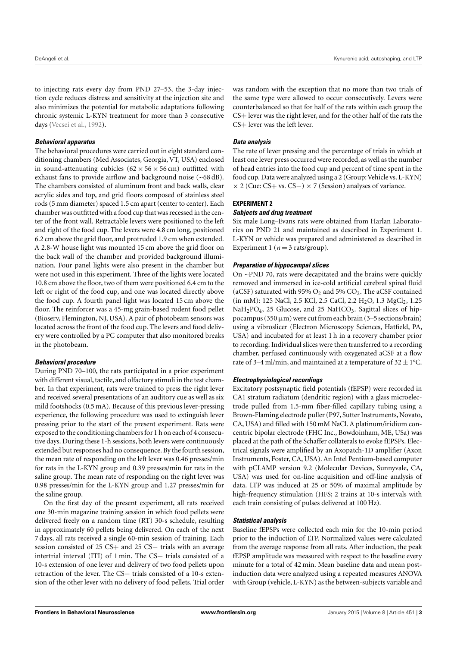to injecting rats every day from PND 27–53, the 3-day injection cycle reduces distress and sensitivity at the injection site and also minimizes the potential for metabolic adaptations following chronic systemic L-KYN treatment for more than 3 consecutive days [\(Vecsei et al.,](#page-10-13) [1992\)](#page-10-13).

## **Behavioral apparatus**

The behavioral procedures were carried out in eight standard conditioning chambers (Med Associates, Georgia, VT, USA) enclosed in sound-attenuating cubicles  $(62 \times 56 \times 56 \text{ cm})$  outfitted with exhaust fans to provide airflow and background noise (~68 dB). The chambers consisted of aluminum front and back walls, clear acrylic sides and top, and grid floors composed of stainless steel rods (5 mm diameter) spaced 1.5 cm apart (center to center). Each chamber was outfitted with a food cup that was recessed in the center of the front wall. Retractable levers were positioned to the left and right of the food cup. The levers were 4.8 cm long, positioned 6.2 cm above the grid floor, and protruded 1.9 cm when extended. A 2.8-W house light was mounted 15 cm above the grid floor on the back wall of the chamber and provided background illumination. Four panel lights were also present in the chamber but were not used in this experiment. Three of the lights were located 10.8 cm above the floor, two of them were positioned 6.4 cm to the left or right of the food cup, and one was located directly above the food cup. A fourth panel light was located 15 cm above the floor. The reinforcer was a 45-mg grain-based rodent food pellet (Bioserv, Flemington, NJ, USA). A pair of photobeam sensors was located across the front of the food cup. The levers and food delivery were controlled by a PC computer that also monitored breaks in the photobeam.

## **Behavioral procedure**

During PND 70–100, the rats participated in a prior experiment with different visual, tactile, and olfactory stimuli in the test chamber. In that experiment, rats were trained to press the right lever and received several presentations of an auditory cue as well as six mild footshocks (0.5 mA). Because of this previous lever-pressing experience, the following procedure was used to extinguish lever pressing prior to the start of the present experiment. Rats were exposed to the conditioning chambers for 1 h on each of 4 consecutive days. During these 1-h sessions, both levers were continuously extended but responses had no consequence. By the fourth session, the mean rate of responding on the left lever was 0.46 presses/min for rats in the L-KYN group and 0.39 presses/min for rats in the saline group. The mean rate of responding on the right lever was 0.98 presses/min for the L-KYN group and 1.27 presses/min for the saline group.

On the first day of the present experiment, all rats received one 30-min magazine training session in which food pellets were delivered freely on a random time (RT) 30-s schedule, resulting in approximately 60 pellets being delivered. On each of the next 7 days, all rats received a single 60-min session of training. Each session consisted of 25 CS+ and 25 CS- trials with an average intertrial interval (ITI) of 1 min. The CS+ trials consisted of a 10-s extension of one lever and delivery of two food pellets upon retraction of the lever. The CS- trials consisted of a 10-s extension of the other lever with no delivery of food pellets. Trial order

was random with the exception that no more than two trials of the same type were allowed to occur consecutively. Levers were counterbalanced so that for half of the rats within each group the CS+ lever was the right lever, and for the other half of the rats the CS+ lever was the left lever.

## **Data analysis**

The rate of lever pressing and the percentage of trials in which at least one lever press occurred were recorded, as well as the number of head entries into the food cup and percent of time spent in the food cup. Data were analyzed using a 2 (Group: Vehicle vs. L-KYN) × 2 (Cue: CS+ vs. CS−) × 7 (Session) analyses of variance.

## **EXPERIMENT 2**

## **Subjects and drug treatment**

Six male Long–Evans rats were obtained from Harlan Laboratories on PND 21 and maintained as described in Experiment 1. L-KYN or vehicle was prepared and administered as described in Experiment 1 ( $n = 3$  rats/group).

## **Preparation of hippocampal slices**

On ~PND 70, rats were decapitated and the brains were quickly removed and immersed in ice-cold artificial cerebral spinal fluid (aCSF) saturated with 95%  $O_2$  and 5%  $CO_2$ . The aCSF contained (in mM): 125 NaCl, 2.5 KCl, 2.5 CaCl, 2.2 H<sub>2</sub>O, 1.3 MgCl<sub>2</sub>, 1.25  $NaH<sub>2</sub>PO<sub>4</sub>$ , 25 Glucose, and 25 NaHCO<sub>3</sub>. Sagittal slices of hippocampus (350  $\mu$ m) were cut from each brain (3–5 sections/brain) using a vibroslicer (Electron Microscopy Sciences, Hatfield, PA, USA) and incubated for at least 1 h in a recovery chamber prior to recording. Individual slices were then transferred to a recording chamber, perfused continuously with oxygenated aCSF at a flow rate of 3–4 ml/min, and maintained at a temperature of  $32 \pm 1^{\circ}$ C.

## **Electrophysiological recordings**

Excitatory postsynaptic field potentials (fEPSP) were recorded in CA1 stratum radiatum (dendritic region) with a glass microelectrode pulled from 1.5-mm fiber-filled capillary tubing using a Brown-Flaming electrode puller (P97, Sutter Instruments, Novato, CA, USA) and filled with 150 mM NaCl. A platinum/iridium concentric bipolar electrode (FHC Inc., Bowdoinham, ME, USa) was placed at the path of the Schaffer collaterals to evoke fEPSPs. Electrical signals were amplified by an Axopatch-1D amplifier (Axon Instruments, Foster, CA, USA). An Intel Pentium-based computer with pCLAMP version 9.2 (Molecular Devices, Sunnyvale, CA, USA) was used for on-line acquisition and off-line analysis of data. LTP was induced at 25 or 50% of maximal amplitude by high-frequency stimulation (HFS; 2 trains at 10-s intervals with each train consisting of pulses delivered at 100 Hz).

## **Statistical analysis**

Baseline fEPSPs were collected each min for the 10-min period prior to the induction of LTP. Normalized values were calculated from the average response from all rats. After induction, the peak fEPSP amplitude was measured with respect to the baseline every minute for a total of 42 min. Mean baseline data and mean postinduction data were analyzed using a repeated measures ANOVA with Group (vehicle, L-KYN) as the between-subjects variable and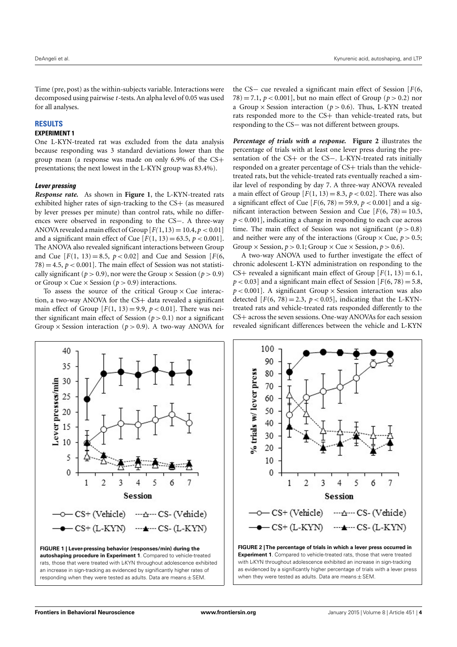Time (pre, post) as the within-subjects variable. Interactions were decomposed using pairwise *t*-tests. An alpha level of 0.05 was used for all analyses.

#### **RESULTS**

### **EXPERIMENT 1**

One L-KYN-treated rat was excluded from the data analysis because responding was 3 standard deviations lower than the group mean (a response was made on only 6.9% of the CS+ presentations; the next lowest in the L-KYN group was 83.4%).

#### **Lever pressing**

*Response rate.* As shown in **[Figure 1](#page-5-0)**, the L-KYN-treated rats exhibited higher rates of sign-tracking to the CS+ (as measured by lever presses per minute) than control rats, while no differences were observed in responding to the CS−. A three-way ANOVA revealed a main effect of Group  $[F(1,13) = 10.4, p < 0.01]$ and a significant main effect of Cue  $[F(1, 13) = 63.5, p < 0.001]$ . The ANOVA also revealed significant interactions between Group and Cue  $[F(1, 13) = 8.5, p < 0.02]$  and Cue and Session  $[F(6, 13) = 8.5, p < 0.02]$  $78$ ) = 4.5,  $p < 0.001$ ]. The main effect of Session was not statistically significant ( $p > 0.9$ ), nor were the Group  $\times$  Session ( $p > 0.9$ ) or Group  $\times$  Cue  $\times$  Session ( $p > 0.9$ ) interactions.

To assess the source of the critical Group  $\times$  Cue interaction, a two-way ANOVA for the CS+ data revealed a significant main effect of Group  $[F(1, 13) = 9.9, p < 0.01]$ . There was neither significant main effect of Session  $(p > 0.1)$  nor a significant Group  $\times$  Session interaction ( $p > 0.9$ ). A two-way ANOVA for

the CS− cue revealed a significant main effect of Session [*F*(6, 78) = 7.1,  $p < 0.001$ , but no main effect of Group ( $p > 0.2$ ) nor a Group  $\times$  Session interaction ( $p > 0.6$ ). Thus, L-KYN treated rats responded more to the CS+ than vehicle-treated rats, but responding to the CS− was not different between groups.

*Percentage of trials with a response.* **[Figure 2](#page-5-1)** illustrates the percentage of trials with at least one lever press during the presentation of the CS+ or the CS-. L-KYN-treated rats initially responded on a greater percentage of CS+ trials than the vehicletreated rats, but the vehicle-treated rats eventually reached a similar level of responding by day 7. A three-way ANOVA revealed a main effect of Group  $[F(1, 13) = 8.3, p < 0.02]$ . There was also a significant effect of Cue  $[F(6, 78) = 59.9, p < 0.001]$  and a significant interaction between Session and Cue  $[F(6, 78) = 10.5,$ *p* < 0.001], indicating a change in responding to each cue across time. The main effect of Session was not significant ( $p > 0.8$ ) and neither were any of the interactions (Group  $\times$  Cue,  $p > 0.5$ ; Group  $\times$  Session,  $p > 0.1$ ; Group  $\times$  Cue  $\times$  Session,  $p > 0.6$ ).

A two-way ANOVA used to further investigate the effect of chronic adolescent L-KYN administration on responding to the CS+ revealed a significant main effect of Group  $[F(1, 13) = 6.1]$ ,  $p < 0.03$ ] and a significant main effect of Session [ $F(6, 78) = 5.8$ ,  $p < 0.001$ ]. A significant Group  $\times$  Session interaction was also detected  $[F(6, 78) = 2.3, p < 0.05]$ , indicating that the L-KYNtreated rats and vehicle-treated rats responded differently to the CS+ across the seven sessions. One-way ANOVAs for each session revealed significant differences between the vehicle and L-KYN





<span id="page-5-1"></span><span id="page-5-0"></span>with L-KYN throughout adolescence exhibited an increase in sign-tracking as evidenced by a significantly higher percentage of trials with a lever press when they were tested as adults. Data are means  $\pm$  SEM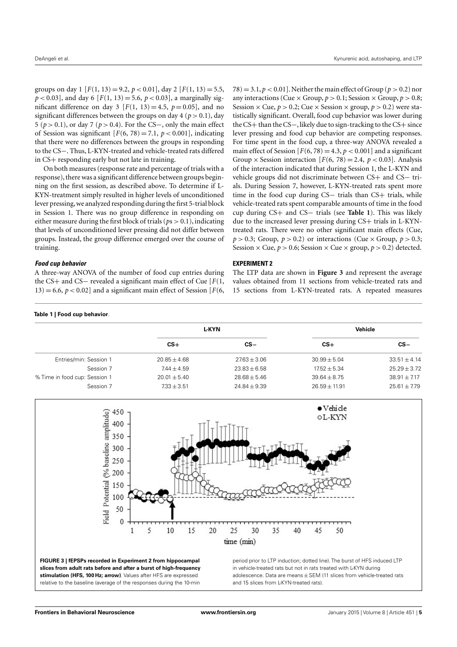groups on day 1  $[F(1, 13) = 9.2, p < 0.01]$ , day 2  $[F(1, 13) = 5.5,$  $p < 0.03$ ], and day 6 [ $F(1, 13) = 5.6$ ,  $p < 0.03$ ], a marginally significant difference on day 3  $[F(1, 13) = 4.5, p = 0.05]$ , and no significant differences between the groups on day  $4 (p > 0.1)$ , day 5 (*p* > 0.1), or day 7 (*p* > 0.4). For the CS−, only the main effect of Session was significant  $[F(6, 78) = 7.1, p < 0.001]$ , indicating that there were no differences between the groups in responding to the CS−. Thus, L-KYN-treated and vehicle-treated rats differed in CS+ responding early but not late in training.

On both measures (response rate and percentage of trials with a response), there was a significant difference between groups beginning on the first session, as described above. To determine if L-KYN-treatment simply resulted in higher levels of unconditioned lever pressing, we analyzed responding during the first 5-trial block in Session 1. There was no group difference in responding on either measure during the first block of trials ( $ps > 0.1$ ), indicating that levels of unconditioned lever pressing did not differ between groups. Instead, the group difference emerged over the course of training.

 $78$ ) = 3.1,  $p < 0.01$ ]. Neither the main effect of Group ( $p > 0.2$ ) nor any interactions (Cue  $\times$  Group,  $p > 0.1$ ; Session  $\times$  Group,  $p > 0.8$ ; Session  $\times$  Cue,  $p > 0.2$ ; Cue  $\times$  Session  $\times$  group,  $p > 0.2$ ) were statistically significant. Overall, food cup behavior was lower during the CS+ than the CS−, likely due to sign-tracking to the CS+ since lever pressing and food cup behavior are competing responses. For time spent in the food cup, a three-way ANOVA revealed a main effect of Session  $[F(6, 78) = 4.3, p < 0.001]$  and a significant Group  $\times$  Session interaction [ $F(6, 78) = 2.4$ ,  $p < 0.03$ ]. Analysis of the interaction indicated that during Session 1, the L-KYN and vehicle groups did not discriminate between CS+ and CS− trials. During Session 7, however, L-KYN-treated rats spent more time in the food cup during CS− trials than CS+ trials, while vehicle-treated rats spent comparable amounts of time in the food cup during CS+ and CS− trials (see **[Table 1](#page-6-0)**). This was likely due to the increased lever pressing during CS+ trials in L-KYNtreated rats. There were no other significant main effects (Cue,  $p > 0.3$ ; Group,  $p > 0.2$ ) or interactions (Cue  $\times$  Group,  $p > 0.3$ ; Session  $\times$  Cue,  $p > 0.6$ ; Session  $\times$  Cue  $\times$  group,  $p > 0.2$ ) detected.

#### **Food cup behavior**

A three-way ANOVA of the number of food cup entries during the CS+ and CS− revealed a significant main effect of Cue [*F*(1,  $13$ ) = 6.6, *p* < 0.02] and a significant main effect of Session [*F*(6,

#### **EXPERIMENT 2**

The LTP data are shown in **[Figure 3](#page-6-1)** and represent the average values obtained from 11 sections from vehicle-treated rats and 15 sections from L-KYN-treated rats. A repeated measures

#### <span id="page-6-0"></span>**Table 1 | Food cup behavior**.

|                                            | L-KYN                             |                                  | Vehicle                           |                                  |
|--------------------------------------------|-----------------------------------|----------------------------------|-----------------------------------|----------------------------------|
|                                            | $CS+$                             | $cs -$                           | $CS+$                             | $CS -$                           |
| Entries/min: Session 1                     | $20.85 + 4.68$                    | $2763 + 3.06$                    | $30.99 + 5.04$                    | $33.51 + 4.14$                   |
| Session 7                                  | $7.44 + 4.59$                     | $23.83 \pm 6.58$                 | $17.52 + 5.34$                    | $25.29 \pm 3.72$                 |
| % Time in food cup: Session 1<br>Session 7 | $20.01 + 5.40$<br>$7.33 \pm 3.51$ | $28.68 + 5.46$<br>$24.84 + 9.39$ | $39.64 + 8.75$<br>$26.59 + 11.91$ | $38.91 + 7.17$<br>$25.61 + 7.79$ |

<span id="page-6-1"></span>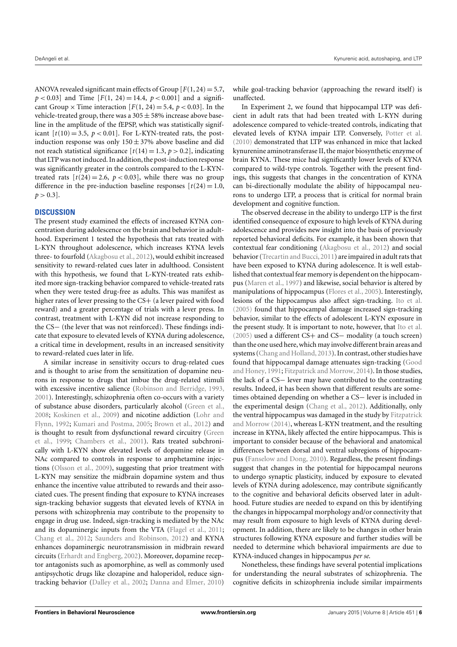ANOVA revealed significant main effects of Group  $[F(1, 24) = 5.7]$ ,  $p < 0.03$  and Time  $[F(1, 24) = 14.4, p < 0.001]$  and a significant Group  $\times$  Time interaction [ $F(1, 24) = 5.4$ ,  $p < 0.03$ ]. In the vehicle-treated group, there was a  $305 \pm 58\%$  increase above baseline in the amplitude of the fEPSP, which was statistically significant  $[t(10) = 3.5, p < 0.01]$ . For L-KYN-treated rats, the postinduction response was only  $150 \pm 37$ % above baseline and did not reach statistical significance  $[t(14) = 1.3, p > 0.2]$ , indicating that LTP was not induced. In addition, the post-induction response was significantly greater in the controls compared to the L-KYNtreated rats  $[t(24) = 2.6, p < 0.03]$ , while there was no group difference in the pre-induction baseline responses  $[t(24) = 1.0,$  $p > 0.3$ .

### **DISCUSSION**

The present study examined the effects of increased KYNA concentration during adolescence on the brain and behavior in adulthood. Experiment 1 tested the hypothesis that rats treated with L-KYN throughout adolescence, which increases KYNA levels three- to fourfold [\(Akagbosu et al.,](#page-8-5) [2012\)](#page-8-5), would exhibit increased sensitivity to reward-related cues later in adulthood. Consistent with this hypothesis, we found that L-KYN-treated rats exhibited more sign-tracking behavior compared to vehicle-treated rats when they were tested drug-free as adults. This was manifest as higher rates of lever pressing to the CS+ (a lever paired with food reward) and a greater percentage of trials with a lever press. In contrast, treatment with L-KYN did not increase responding to the CS− (the lever that was not reinforced). These findings indicate that exposure to elevated levels of KYNA during adolescence, a critical time in development, results in an increased sensitivity to reward-related cues later in life.

A similar increase in sensitivity occurs to drug-related cues and is thought to arise from the sensitization of dopamine neurons in response to drugs that imbue the drug-related stimuli with excessive incentive salience [\(Robinson and Berridge,](#page-10-10) [1993,](#page-10-10) [2001\)](#page-10-12). Interestingly, schizophrenia often co-occurs with a variety of substance abuse disorders, particularly alcohol [\(Green et al.,](#page-9-20) [2008;](#page-9-20) [Koskinen et al.,](#page-9-21) [2009\)](#page-9-21) and nicotine addiction [\(Lohr and](#page-9-22) [Flynn,](#page-9-22) [1992;](#page-9-22) [Kumari and Postma,](#page-9-23) [2005;](#page-9-23) [Brown et al.,](#page-8-8) [2012\)](#page-8-8) and is thought to result from dysfunctional reward circuitry [\(Green](#page-9-24) [et al.,](#page-9-24) [1999;](#page-9-24) [Chambers et al.,](#page-9-25) [2001\)](#page-9-25). Rats treated subchronically with L-KYN show elevated levels of dopamine release in NAc compared to controls in response to amphetamine injections [\(Olsson et al.,](#page-10-14) [2009\)](#page-10-14), suggesting that prior treatment with L-KYN may sensitize the midbrain dopamine system and thus enhance the incentive value attributed to rewards and their associated cues. The present finding that exposure to KYNA increases sign-tracking behavior suggests that elevated levels of KYNA in persons with schizophrenia may contribute to the propensity to engage in drug use. Indeed, sign-tracking is mediated by the NAc and its dopaminergic inputs from the VTA [\(Flagel et al.,](#page-9-19) [2011;](#page-9-19) [Chang et al.,](#page-9-17) [2012;](#page-9-17) [Saunders and Robinson,](#page-10-11) [2012\)](#page-10-11) and KYNA enhances dopaminergic neurotransmission in midbrain reward circuits [\(Erhardt and Engberg,](#page-9-14) [2002\)](#page-9-14). Moreover, dopamine receptor antagonists such as apomorphine, as well as commonly used antipsychotic drugs like clozapine and haloperidol, reduce signtracking behavior [\(Dalley et al.,](#page-9-26) [2002;](#page-9-26) [Danna and Elmer,](#page-9-27) [2010\)](#page-9-27)

while goal-tracking behavior (approaching the reward itself) is unaffected.

In Experiment 2, we found that hippocampal LTP was deficient in adult rats that had been treated with L-KYN during adolescence compared to vehicle-treated controls, indicating that elevated levels of KYNA impair LTP. Conversely, [Potter et al.](#page-10-15) [\(2010\)](#page-10-15) demonstrated that LTP was enhanced in mice that lacked kynurenine aminotransferase II, the major biosynthetic enzyme of brain KYNA. These mice had significantly lower levels of KYNA compared to wild-type controls. Together with the present findings, this suggests that changes in the concentration of KYNA can bi-directionally modulate the ability of hippocampal neurons to undergo LTP, a process that is critical for normal brain development and cognitive function.

The observed decrease in the ability to undergo LTP is the first identified consequence of exposure to high levels of KYNA during adolescence and provides new insight into the basis of previously reported behavioral deficits. For example, it has been shown that contextual fear conditioning [\(Akagbosu et al.,](#page-8-5) [2012\)](#page-8-5) and social behavior [\(Trecartin and Bucci,](#page-10-6) [2011\)](#page-10-6) are impaired in adult rats that have been exposed to KYNA during adolescence. It is well established that contextual fear memory is dependent on the hippocampus [\(Maren et al.,](#page-9-28) [1997\)](#page-9-28) and likewise, social behavior is altered by manipulations of hippocampus [\(Flores et al.,](#page-9-29) [2005\)](#page-9-29). Interestingly, lesions of the hippocampus also affect sign-tracking. [Ito et al.](#page-9-30) [\(2005\)](#page-9-30) found that hippocampal damage increased sign-tracking behavior, similar to the effects of adolescent L-KYN exposure in the present study. It is important to note, however, that [Ito et al.](#page-9-30) [\(2005\)](#page-9-30) used a different CS+ and CS− modality (a touch screen) than the one used here, which may involve different brain areas and systems [\(Chang and Holland,](#page-9-31) [2013\)](#page-9-31). In contrast, other studies have found that hippocampal damage attenuates sign-tracking [\(Good](#page-9-32) [and Honey,](#page-9-32) [1991;](#page-9-32) [Fitzpatrick and Morrow,](#page-9-33) [2014\)](#page-9-33). In those studies, the lack of a CS− lever may have contributed to the contrasting results. Indeed, it has been shown that different results are sometimes obtained depending on whether a CS− lever is included in the experimental design [\(Chang et al.,](#page-9-17) [2012\)](#page-9-17). Additionally, only the ventral hippocampus was damaged in the study by [Fitzpatrick](#page-9-33) [and Morrow](#page-9-33) [\(2014\)](#page-9-33), whereas L-KYN treatment, and the resulting increase in KYNA, likely affected the entire hippocampus. This is important to consider because of the behavioral and anatomical differences between dorsal and ventral subregions of hippocampus [\(Fanselow and Dong,](#page-9-34) [2010\)](#page-9-34). Regardless, the present findings suggest that changes in the potential for hippocampal neurons to undergo synaptic plasticity, induced by exposure to elevated levels of KYNA during adolescence, may contribute significantly to the cognitive and behavioral deficits observed later in adulthood. Future studies are needed to expand on this by identifying the changes in hippocampal morphology and/or connectivity that may result from exposure to high levels of KYNA during development. In addition, there are likely to be changes in other brain structures following KYNA exposure and further studies will be needed to determine which behavioral impairments are due to KYNA-induced changes in hippocampus *per se*.

Nonetheless, these findings have several potential implications for understanding the neural substrates of schizophrenia. The cognitive deficits in schizophrenia include similar impairments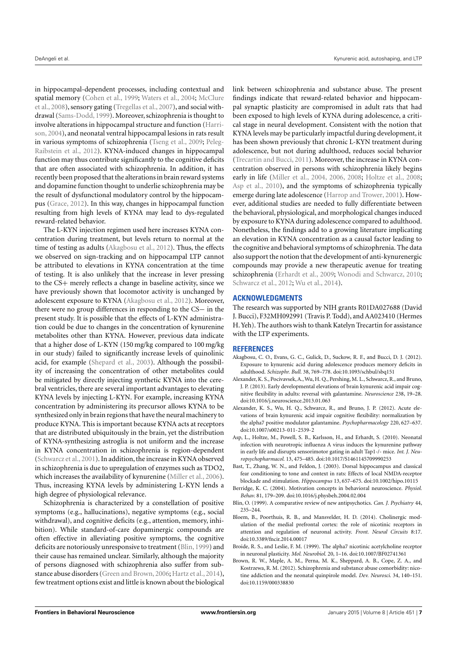in hippocampal-dependent processes, including contextual and spatial memory [\(Cohen et al.,](#page-9-35) [1999;](#page-9-35) [Waters et al.,](#page-10-16) [2004;](#page-10-16) [McClure](#page-9-36) [et al.,](#page-9-36) [2008\)](#page-9-36), sensory gating [\(Tregellas et al.,](#page-10-17) [2007\)](#page-10-17), and social withdrawal [\(Sams-Dodd,](#page-10-18) [1999\)](#page-10-18). Moreover, schizophrenia is thought to involve alterations in hippocampal structure and function [\(Harri](#page-9-37)[son,](#page-9-37) [2004\)](#page-9-37), and neonatal ventral hippocampal lesions in rats result in various symptoms of schizophrenia [\(Tseng et al.,](#page-10-19) [2009;](#page-10-19) [Peleg-](#page-10-20)[Raibstein et al.,](#page-10-20) [2012\)](#page-10-20). KYNA-induced changes in hippocampal function may thus contribute significantly to the cognitive deficits that are often associated with schizophrenia. In addition, it has recently been proposed that the alterations in brain reward systems and dopamine function thought to underlie schizophrenia may be the result of dysfunctional modulatory control by the hippocampus [\(Grace,](#page-9-38) [2012\)](#page-9-38). In this way, changes in hippocampal function resulting from high levels of KYNA may lead to dys-regulated reward-related behavior.

The L-KYN injection regimen used here increases KYNA concentration during treatment, but levels return to normal at the time of testing as adults [\(Akagbosu et al.,](#page-8-5) [2012\)](#page-8-5). Thus, the effects we observed on sign-tracking and on hippocampal LTP cannot be attributed to elevations in KYNA concentration at the time of testing. It is also unlikely that the increase in lever pressing to the CS+ merely reflects a change in baseline activity, since we have previously shown that locomotor activity is unchanged by adolescent exposure to KYNA [\(Akagbosu et al.,](#page-8-5) [2012\)](#page-8-5). Moreover, there were no group differences in responding to the CS− in the present study. It is possible that the effects of L-KYN administration could be due to changes in the concentration of kynurenine metabolites other than KYNA. However, previous data indicate that a higher dose of L-KYN (150 mg/kg compared to 100 mg/kg in our study) failed to significantly increase levels of quinolinic acid, for example [\(Shepard et al.,](#page-10-5) [2003\)](#page-10-5). Although the possibility of increasing the concentration of other metabolites could be mitigated by directly injecting synthetic KYNA into the cerebral ventricles, there are several important advantages to elevating KYNA levels by injecting L-KYN. For example, increasing KYNA concentration by administering its precursor allows KYNA to be synthesized only in brain regions that have the neural machinery to produce KYNA. This is important because KYNA acts at receptors that are distributed ubiquitously in the brain, yet the distribution of KYNA-synthesizing astroglia is not uniform and the increase in KYNA concentration in schizophrenia is region-dependent [\(Schwarcz et al.,](#page-10-1) [2001\)](#page-10-1). In addition, the increase in KYNA observed in schizophrenia is due to upregulation of enzymes such as TDO2, which increases the availability of kynurenine [\(Miller et al.,](#page-9-9) [2006\)](#page-9-9). Thus, increasing KYNA levels by administering L-KYN lends a high degree of physiological relevance.

Schizophrenia is characterized by a constellation of positive symptoms (e.g., hallucinations), negative symptoms (e.g., social withdrawal), and cognitive deficits (e.g., attention, memory, inhibition). While standard-of-care dopaminergic compounds are often effective in alleviating positive symptoms, the cognitive deficits are notoriously unresponsive to treatment [\(Blin,](#page-8-9) [1999\)](#page-8-9) and their cause has remained unclear. Similarly, although the majority of persons diagnosed with schizophrenia also suffer from sub-stance abuse disorders [\(Green and Brown,](#page-9-39) [2006;](#page-9-39) [Hartz et al.,](#page-9-40) [2014\)](#page-9-40), few treatment options exist and little is known about the biological link between schizophrenia and substance abuse. The present findings indicate that reward-related behavior and hippocampal synaptic plasticity are compromised in adult rats that had been exposed to high levels of KYNA during adolescence, a critical stage in neural development. Consistent with the notion that KYNA levels may be particularly impactful during development, it has been shown previously that chronic L-KYN treatment during adolescence, but not during adulthood, reduces social behavior [\(Trecartin and Bucci,](#page-10-6) [2011\)](#page-10-6). Moreover, the increase in KYNA concentration observed in persons with schizophrenia likely begins early in life [\(Miller et al.,](#page-9-8) [2004,](#page-9-8) [2006,](#page-9-9) [2008;](#page-9-10) [Holtze et al.,](#page-9-11) [2008;](#page-9-11) [Asp et al.,](#page-8-3) [2010\)](#page-8-3), and the symptoms of schizophrenia typically emerge during late adolescence [\(Harrop and Trower,](#page-9-41) [2001\)](#page-9-41). However, additional studies are needed to fully differentiate between the behavioral, physiological, and morphological changes induced by exposure to KYNA during adolescence compared to adulthood. Nonetheless, the findings add to a growing literature implicating an elevation in KYNA concentration as a causal factor leading to the cognitive and behavioral symptoms of schizophrenia. The data also support the notion that the development of anti-kynurenergic compounds may provide a new therapeutic avenue for treating schizophrenia [\(Erhardt et al.,](#page-9-42) [2009;](#page-9-42) [Wonodi and Schwarcz,](#page-10-21) [2010;](#page-10-21) [Schwarcz et al.,](#page-10-22) [2012;](#page-10-22) [Wu et al.,](#page-10-23) [2014\)](#page-10-23).

### **ACKNOWLEDGMENTS**

The research was supported by NIH grants R01DA027688 (David J. Bucci), F32MH092991 (Travis P. Todd), and AA023410 (Hermes H. Yeh). The authors wish to thank Katelyn Trecartin for assistance with the LTP experiments.

#### **REFERENCES**

- <span id="page-8-5"></span>Akagbosu, C. O., Evans, G. C., Gulick, D., Suckow, R. F., and Bucci, D. J. (2012). Exposure to kynurenic acid during adolescence produces memory deficits in adulthood. *Schizophr. Bull.* 38, 769–778. doi[:10.1093/schbul/sbq151](http://dx.doi.org/10.1093/schbul/sbq151)
- <span id="page-8-6"></span>Alexander, K. S., Pocivavsek, A., Wu, H. Q., Pershing, M. L., Schwarcz, R., and Bruno, J. P. (2013). Early developmental elevations of brain kynurenic acid impair cognitive flexibility in adults: reversal with galantamine. *Neuroscience* 238, 19–28. doi[:10.1016/j.neuroscience.2013.01.063](http://dx.doi.org/10.1016/j.neuroscience.2013.01.063)
- <span id="page-8-2"></span>Alexander, K. S., Wu, H. Q., Schwarcz, R., and Bruno, J. P. (2012). Acute elevations of brain kynurenic acid impair cognitive flexibility: normalization by the alpha7 positive modulator galantamine. *Psychopharmacology* 220, 627–637. doi[:10.1007/s00213-011-2539-2](http://dx.doi.org/10.1007/s00213-011-2539-2)
- <span id="page-8-3"></span>Asp, L., Holtze, M., Powell, S. B., Karlsson, H., and Erhardt, S. (2010). Neonatal infection with neurotropic influenza A virus induces the kynurenine pathway in early life and disrupts sensorimotor gating in adult Tap1-/- mice. *Int. J. Neuropsychopharmacol.* 13, 475–485. doi[:10.1017/S1461145709990253](http://dx.doi.org/10.1017/S1461145709990253)
- <span id="page-8-0"></span>Bast, T., Zhang, W. N., and Feldon, J. (2003). Dorsal hippocampus and classical fear conditioning to tone and context in rats: Effects of local NMDA-receptor blockade and stimulation. *Hippocampus* 13, 657–675. doi[:10.1002/hipo.10115](http://dx.doi.org/10.1002/hipo.10115)
- <span id="page-8-7"></span>Berridge, K. C. (2004). Motivation concepts in behavioral neuroscience. *Physiol. Behav.* 81, 179–209. doi[:10.1016/j.physbeh.2004.02.004](http://dx.doi.org/10.1016/j.physbeh.2004.02.004)
- <span id="page-8-9"></span>Blin, O. (1999). A comparative review of new antipsychotics. *Can. J. Psychiatry* 44, 235–244.
- <span id="page-8-1"></span>Bloem, B., Poorthuis, R. B., and Mansvelder, H. D. (2014). Cholinergic modulation of the medial prefrontal cortex: the role of nicotinic receptors in attention and regulation of neuronal activity. *Front. Neural Circuits* 8:17. doi[:10.3389/fncir.2014.00017](http://dx.doi.org/10.3389/fncir.2014.00017)
- <span id="page-8-4"></span>Broide, R. S., and Leslie, F. M. (1999). The alpha7 nicotinic acetylcholine receptor in neuronal plasticity. *Mol. Neurobiol.* 20, 1–16. doi[:10.1007/BF02741361](http://dx.doi.org/10.1007/BF02741361)
- <span id="page-8-8"></span>Brown, R. W., Maple, A. M., Perna, M. K., Sheppard, A. B., Cope, Z. A., and Kostrzewa, R. M. (2012). Schizophrenia and substance abuse comorbidity: nicotine addiction and the neonatal quinpirole model. *Dev. Neurosci.* 34, 140–151. doi[:10.1159/000338830](http://dx.doi.org/10.1159/000338830)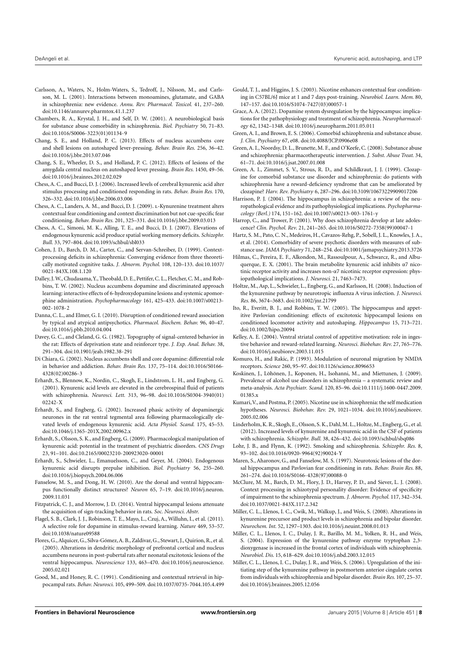- <span id="page-9-13"></span>Carlsson, A., Waters, N., Holm-Waters, S., Tedroff, J., Nilsson, M., and Carlsson, M. L. (2001). Interactions between monoamines, glutamate, and GABA in schizophrenia: new evidence. *Annu. Rev. Pharmacol. Toxicol.* 41, 237–260. doi[:10.1146/annurev.pharmtox.41.1.237](http://dx.doi.org/10.1146/annurev.pharmtox.41.1.237)
- <span id="page-9-25"></span>Chambers, R. A., Krystal, J. H., and Self, D. W. (2001). A neurobiological basis for substance abuse comorbidity in schizophrenia. *Biol. Psychiatry* 50, 71–83. doi[:10.1016/S0006-3223\(01\)01134-9](http://dx.doi.org/10.1016/S0006-3223(01)01134-9)
- <span id="page-9-31"></span>Chang, S. E., and Holland, P. C. (2013). Effects of nucleus accumbens core and shell lesions on autoshaped lever-pressing. *Behav. Brain Res.* 256, 36–42. doi[:10.1016/j.bbr.2013.07.046](http://dx.doi.org/10.1016/j.bbr.2013.07.046)
- <span id="page-9-17"></span>Chang, S. E., Wheeler, D. S., and Holland, P. C. (2012). Effects of lesions of the amygdala central nucleus on autoshaped lever pressing. *Brain Res.* 1450, 49–56. doi[:10.1016/j.brainres.2012.02.029](http://dx.doi.org/10.1016/j.brainres.2012.02.029)
- <span id="page-9-4"></span>Chess, A. C., and Bucci, D. J. (2006). Increased levels of cerebral kynurenic acid alter stimulus processing and conditioned responding in rats. *Behav. Brain Res.* 170, 326–332. doi[:10.1016/j.bbr.2006.03.006](http://dx.doi.org/10.1016/j.bbr.2006.03.006)
- <span id="page-9-6"></span>Chess, A. C., Landers, A. M., and Bucci, D. J. (2009). l-Kynurenine treatment alters contextual fear conditioning and context discrimination but not cue-specific fear conditioning. *Behav. Brain Res.* 201, 325–331. doi[:10.1016/j.bbr.2009.03.013](http://dx.doi.org/10.1016/j.bbr.2009.03.013)
- <span id="page-9-7"></span>Chess, A. C., Simoni, M. K., Alling, T. E., and Bucci, D. J. (2007). Elevations of endogenous kynurenic acid produce spatial working memory deficits. *Schizophr. Bull.* 33, 797–804. doi[:10.1093/schbul/sbl033](http://dx.doi.org/10.1093/schbul/sbl033)
- <span id="page-9-35"></span>Cohen, J. D., Barch, D. M., Carter, C., and Servan-Schreiber, D. (1999). Contextprocessing deficits in schizophrenia: Converging evidence from three theoretically motivated cognitive tasks. *J. Abnorm. Psychol.* 108, 120–133. doi[:10.1037/](http://dx.doi.org/10.1037/0021-843X.108.1.120) [0021-843X.108.1.120](http://dx.doi.org/10.1037/0021-843X.108.1.120)
- <span id="page-9-26"></span>Dalley, J. W., Chudasama,Y., Theobald, D. E., Pettifer, C. L., Fletcher, C. M., and Robbins, T. W. (2002). Nucleus accumbens dopamine and discriminated approach learning: interactive effects of 6-hydroxydopamine lesions and systemic apomorphine administration. *Psychopharmacology* 161, 425–433. doi[:10.1007/s00213-](http://dx.doi.org/10.1007/s00213-002-1078-2) [002-1078-2](http://dx.doi.org/10.1007/s00213-002-1078-2)
- <span id="page-9-27"></span>Danna, C. L., and Elmer, G. I. (2010). Disruption of conditioned reward association by typical and atypical antipsychotics. *Pharmacol. Biochem. Behav.* 96, 40–47. doi[:10.1016/j.pbb.2010.04.004](http://dx.doi.org/10.1016/j.pbb.2010.04.004)
- <span id="page-9-18"></span>Davey, G. C., and Cleland, G. G. (1982). Topography of signal-centered behavior in the rat: Effects of deprivation state and reinforcer type. *J. Exp. Anal. Behav.* 38, 291–304. doi[:10.1901/jeab.1982.38-291](http://dx.doi.org/10.1901/jeab.1982.38-291)
- <span id="page-9-15"></span>Di Chiara, G. (2002). Nucleus accumbens shell and core dopamine: differential role in behavior and addiction. *Behav. Brain Res.* 137, 75–114. doi[:10.1016/S0166-](http://dx.doi.org/10.1016/S0166-4328(02)00286-3) [4328\(02\)00286-3](http://dx.doi.org/10.1016/S0166-4328(02)00286-3)
- <span id="page-9-0"></span>Erhardt, S., Blennow, K., Nordin, C., Skogh, E., Lindstrom, L. H., and Engberg, G. (2001). Kynurenic acid levels are elevated in the cerebrospinal fluid of patients with schizophrenia. *Neurosci. Lett.* 313, 96–98. doi[:10.1016/S0304-3940\(01\)](http://dx.doi.org/10.1016/S0304-3940(01)02242-X) [02242-X](http://dx.doi.org/10.1016/S0304-3940(01)02242-X)
- <span id="page-9-14"></span>Erhardt, S., and Engberg, G. (2002). Increased phasic activity of dopaminergic neurones in the rat ventral tegmental area following pharmacologically elevated levels of endogenous kynurenic acid. *Acta Physiol. Scand.* 175, 45–53. doi[:10.1046/j.1365-201X.2002.00962.x](http://dx.doi.org/10.1046/j.1365-201X.2002.00962.x)
- <span id="page-9-42"></span>Erhardt, S., Olsson, S. K., and Engberg, G. (2009). Pharmacological manipulation of kynurenic acid: potential in the treatment of psychiatric disorders. *CNS Drugs* 23, 91–101. doi[:10.2165/00023210-200923020-00001](http://dx.doi.org/10.2165/00023210-200923020-00001)
- <span id="page-9-5"></span>Erhardt, S., Schwieler, L., Emanuelsson, C., and Geyer, M. (2004). Endogenous kynurenic acid disrupts prepulse inhibition. *Biol. Psychiatry* 56, 255–260. doi[:10.1016/j.biopsych.2004.06.006](http://dx.doi.org/10.1016/j.biopsych.2004.06.006)
- <span id="page-9-34"></span>Fanselow, M. S., and Dong, H. W. (2010). Are the dorsal and ventral hippocampus functionally distinct structures? *Neuron* 65, 7–19. doi[:10.1016/j.neuron.](http://dx.doi.org/10.1016/j.neuron.2009.11.031) [2009.11.031](http://dx.doi.org/10.1016/j.neuron.2009.11.031)
- <span id="page-9-33"></span>Fitzpatrick, C. J., and Morrow, J. D. (2014). Ventral hippocampal lesions attenuate the acquisition of sign-tracking behavior in rats. *Soc. Neurosci. Abstr.*
- <span id="page-9-19"></span>Flagel, S. B., Clark, J. J., Robinson, T. E., Mayo, L., Czuj, A., Willuhn, I., et al. (2011). A selective role for dopamine in stimulus-reward learning. *Nature* 469, 53–57. doi[:10.1038/nature09588](http://dx.doi.org/10.1038/nature09588)
- <span id="page-9-29"></span>Flores, G., Alquicer, G., Silva-Gómez, A. B., Zaldivar, G., Stewart, J., Quirion, R., et al. (2005). Alterations in dendritic morphology of prefrontal cortical and nucleus accumbens neurons in post-pubertal rats after neonatal excitotoxic lesions of the ventral hippocampus. *Neuroscience* 133, 463–470. doi[:10.1016/j.neuroscience.](http://dx.doi.org/10.1016/j.neuroscience.2005.02.021) [2005.02.021](http://dx.doi.org/10.1016/j.neuroscience.2005.02.021)
- <span id="page-9-32"></span>Good, M., and Honey, R. C. (1991). Conditioning and contextual retrieval in hippocampal rats. *Behav. Neurosci.* 105, 499–509. doi[:10.1037/0735-7044.105.4.499](http://dx.doi.org/10.1037/0735-7044.105.4.499)
- <span id="page-9-3"></span>Gould, T. J., and Higgins, J. S. (2003). Nicotine enhances contextual fear conditioning in C57BL/6J mice at 1 and 7 days post-training. *Neurobiol. Learn. Mem.* 80, 147–157. doi[:10.1016/S1074-7427\(03\)00057-1](http://dx.doi.org/10.1016/S1074-7427(03)00057-1)
- <span id="page-9-38"></span>Grace, A. A. (2012). Dopamine system dysregulation by the hippocampus: implications for the pathophysiology and treatment of schizophrenia. *Neuropharmacology* 62, 1342–1348. doi[:10.1016/j.neuropharm.2011.05.011](http://dx.doi.org/10.1016/j.neuropharm.2011.05.011)
- <span id="page-9-39"></span>Green, A. I., and Brown, E. S. (2006). Comorbid schizophrenia and substance abuse. *J. Clin. Psychiatry* 67, e08. doi[:10.4088/JCP.0906e08](http://dx.doi.org/10.4088/JCP.0906e08)
- <span id="page-9-20"></span>Green, A. I., Noordsy, D. L., Brunette, M. F., and O'Keefe, C. (2008). Substance abuse and schizophrenia: pharmacotherapeutic intervention. *J. Subst. Abuse Treat.* 34, 61–71. doi[:10.1016/j.jsat.2007.01.008](http://dx.doi.org/10.1016/j.jsat.2007.01.008)
- <span id="page-9-24"></span>Green, A. I., Zimmet, S. V., Strous, R. D., and Schildkraut, J. J. (1999). Clozapine for comorbid substance use disorder and schizophrenia: do patients with schizophrenia have a reward-deficiency syndrome that can be ameliorated by clozapine? *Harv. Rev. Psychiatry* 6, 287–296. doi[:10.3109/10673229909017206](http://dx.doi.org/10.3109/10673229909017206)
- <span id="page-9-37"></span>Harrison, P. J. (2004). The hippocampus in schizophrenia: a review of the neuropathological evidence and its pathophysiological implications. *Psychopharmacology (Berl.)* 174, 151–162. doi[:10.1007/s00213-003-1761-y](http://dx.doi.org/10.1007/s00213-003-1761-y)
- <span id="page-9-41"></span>Harrop, C., and Trower, P. (2001). Why does schizophrenia develop at late adolescence? *Clin. Psychol. Rev*. 21, 241–265. doi[:10.1016/S0272-7358\(99\)00047-1](http://dx.doi.org/10.1016/S0272-7358(99)00047-1)
- <span id="page-9-40"></span>Hartz, S. M., Pato, C. N., Medeiros, H., Cavazos-Rehg, P., Sobell, J. L., Knowles, J. A., et al. (2014). Comorbidity of severe psychotic disorders with measures of substance use. *JAMA Psychiatry* 71, 248–254. doi[:10.1001/jamapsychiatry.2013.3726](http://dx.doi.org/10.1001/jamapsychiatry.2013.3726)
- <span id="page-9-2"></span>Hilmas, C., Pereira, E. F., Alkondon, M., Rassoulpour, A., Schwarcz, R., and Albuquerque, E. X. (2001). The brain metabolite kynurenic acid inhibits  $\alpha$ 7 nicotinic receptor activity and increases non-α7 nicotinic receptor expression: physiopathological implications. *J. Neurosci.* 21, 7463–7473.
- <span id="page-9-11"></span>Holtze, M., Asp, L., Schwieler, L., Engberg, G., and Karlsson, H. (2008). Induction of the kynurenine pathway by neurotropic influenza A virus infection. *J. Neurosci. Res.* 86, 3674–3683. doi[:10.1002/jnr.21799](http://dx.doi.org/10.1002/jnr.21799)
- <span id="page-9-30"></span>Ito, R., Everitt, B. J., and Robbins, T. W. (2005). The hippocampus and appetitive Pavlovian conditioning: effects of excitotoxic hippocampal lesions on conditioned locomotor activity and autoshaping. *Hippocampus* 15, 713–721. doi[:10.1002/hipo.20094](http://dx.doi.org/10.1002/hipo.20094)
- <span id="page-9-16"></span>Kelley, A. E. (2004). Ventral striatal control of appetitive motivation: role in ingestive behavior and reward-related learning. *Neurosci. Biobehav. Rev.* 27, 765–776. doi[:10.1016/j.neubiorev.2003.11.015](http://dx.doi.org/10.1016/j.neubiorev.2003.11.015)
- <span id="page-9-12"></span>Komuro, H., and Rakic, P. (1993). Modulation of neuronal migration by NMDA receptors. *Science* 260, 95–97. doi[:10.1126/science.8096653](http://dx.doi.org/10.1126/science.8096653)
- <span id="page-9-21"></span>Koskinen, J., Löhönen, J., Koponen, H., Isohanni, M., and Miettunen, J. (2009). Prevalence of alcohol use disorders in schizophrenia – a systematic review and meta-analysis. *Acta Psychiatr. Scand.* 120, 85–96. doi[:10.1111/j.1600-0447.2009.](http://dx.doi.org/10.1111/j.1600-0447.2009.01385.x) [01385.x](http://dx.doi.org/10.1111/j.1600-0447.2009.01385.x)
- <span id="page-9-23"></span>Kumari,V., and Postma, P. (2005). Nicotine use in schizophrenia: the self medication hypotheses. *Neurosci. Biobehav. Rev.* 29, 1021–1034. doi[:10.1016/j.neubiorev.](http://dx.doi.org/10.1016/j.neubiorev.2005.02.006) [2005.02.006](http://dx.doi.org/10.1016/j.neubiorev.2005.02.006)
- <span id="page-9-1"></span>Linderholm, K. R., Skogh, E., Olsson, S. K., Dahl, M. L., Holtze, M., Engberg, G., et al. (2012). Increased levels of kynurenine and kynurenic acid in the CSF of patients with schizophrenia. *Schizophr. Bull.* 38, 426–432. doi[:10.1093/schbul/sbq086](http://dx.doi.org/10.1093/schbul/sbq086)
- <span id="page-9-22"></span>Lohr, J. B., and Flynn, K. (1992). Smoking and schizophrenia. *Schizophr. Res.* 8, 93–102. doi[:10.1016/0920-9964\(92\)90024-Y](http://dx.doi.org/10.1016/0920-9964(92)90024-Y)
- <span id="page-9-28"></span>Maren, S., Aharonov, G., and Fanselow, M. S. (1997). Neurotoxic lesions of the dorsal hippocampus and Pavlovian fear conditioning in rats. *Behav. Brain Res.* 88, 261–274. doi[:10.1016/S0166-4328\(97\)00088-0](http://dx.doi.org/10.1016/S0166-4328(97)00088-0)
- <span id="page-9-36"></span>McClure, M. M., Barch, D. M., Flory, J. D., Harvey, P. D., and Siever, L. J. (2008). Context processing in schizotypal personality disorder: Evidence of specificity of impairment to the schizophrenia spectrum. *J. Abnorm. Psychol.* 117, 342–354. doi[:10.1037/0021-843X.117.2.342](http://dx.doi.org/10.1037/0021-843X.117.2.342)
- <span id="page-9-10"></span>Miller, C. L., Llenos, I. C., Cwik, M., Walkup, J., and Weis, S. (2008). Alterations in kynurenine precursor and product levels in schizophrenia and bipolar disorder. *Neurochem. Int.* 52, 1297–1303. doi[:10.1016/j.neuint.2008.01.013](http://dx.doi.org/10.1016/j.neuint.2008.01.013)
- <span id="page-9-8"></span>Miller, C. L., Llenos, I. C., Dulay, J. R., Barillo, M. M., Yolken, R. H., and Weis, S. (2004). Expression of the kynurenine pathway enzyme tryptophan 2,3 dioxygenase is increased in the frontal cortex of individuals with schizophrenia. *Neurobiol. Dis.* 15, 618–629. doi[:10.1016/j.nbd.2003.12.015](http://dx.doi.org/10.1016/j.nbd.2003.12.015)
- <span id="page-9-9"></span>Miller, C. L., Llenos, I. C., Dulay, J. R., and Weis, S. (2006). Upregulation of the initiating step of the kynurenine pathway in postmortem anterior cingulate cortex from individuals with schizophrenia and bipolar disorder. *Brain Res.* 107, 25–37. doi[:10.1016/j.brainres.2005.12.056](http://dx.doi.org/10.1016/j.brainres.2005.12.056)